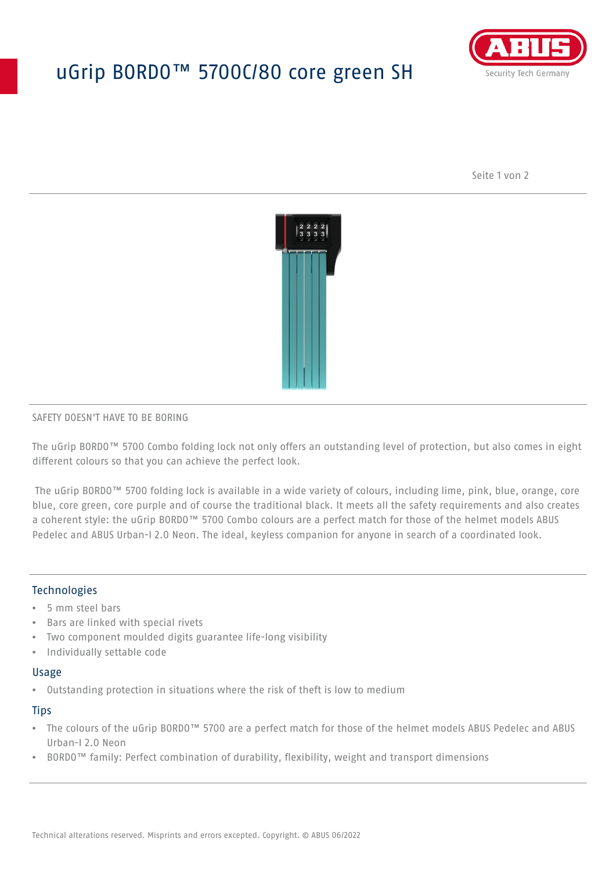# uGrip BORDO™ 5700C/80 core green SH



Seite 1 von 2



#### SAFETY DOESN'T HAVE TO BE BORING

The uGrip BORDO™ 5700 Combo folding lock not only offers an outstanding level of protection, but also comes in eight different colours so that you can achieve the perfect look.

 The uGrip BORDO™ 5700 folding lock is available in a wide variety of colours, including lime, pink, blue, orange, core blue, core green, core purple and of course the traditional black. It meets all the safety requirements and also creates a coherent style: the uGrip BORDO™ 5700 Combo colours are a perfect match for those of the helmet models ABUS Pedelec and ABUS Urban-I 2.0 Neon. The ideal, keyless companion for anyone in search of a coordinated look.

## **Technologies**

- 5 mm steel bars
- Bars are linked with special rivets
- Two component moulded digits guarantee life-long visibility
- Individually settable code

#### Usage

• Outstanding protection in situations where the risk of theft is low to medium

#### **Tips**

- The colours of the uGrip BORDO™ 5700 are a perfect match for those of the helmet models ABUS Pedelec and ABUS Urban-I 2.0 Neon
- BORDO™ family: Perfect combination of durability, flexibility, weight and transport dimensions